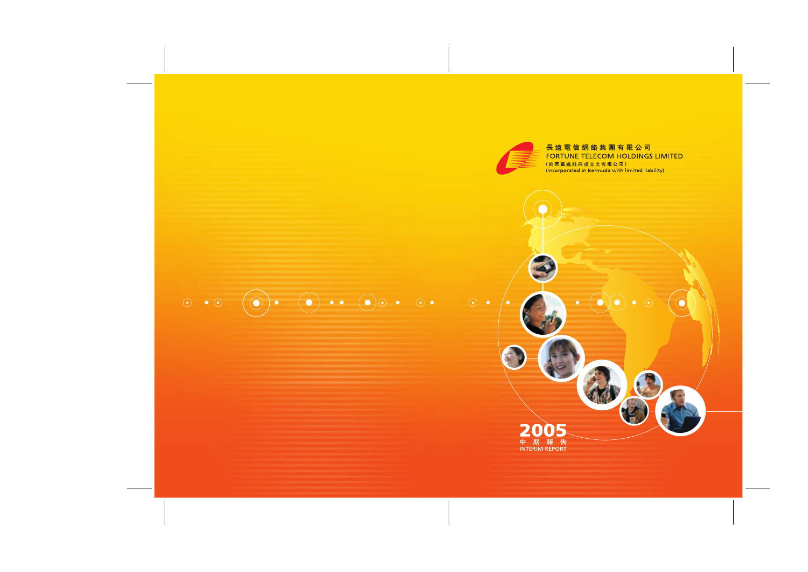

 $\bullet$ 

# 長遠電信網絡集團有限公司 **FORTUNE TELECOM HOLDINGS LIMITED** (於百慕達註冊成立之有限公司)<br>(Incorporated in Bermuda with limited liability)

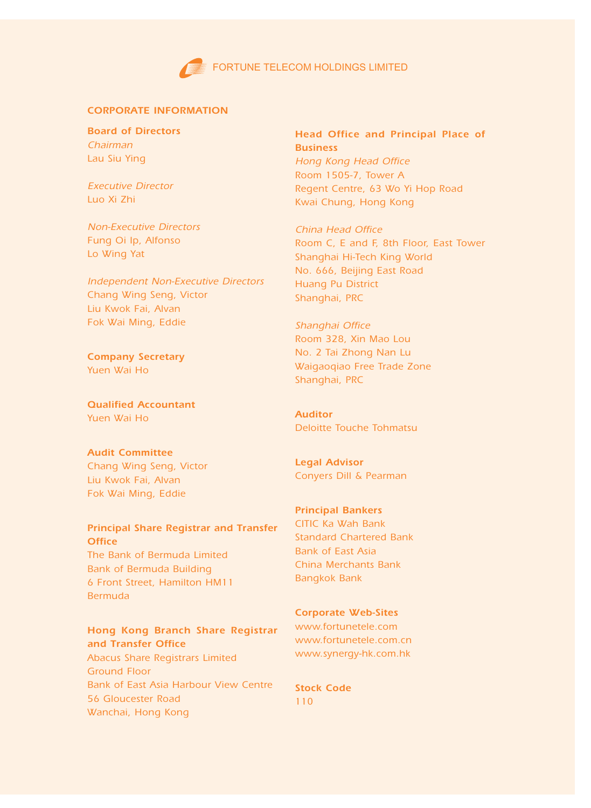# CORPORATE INFORMATION

Board of Directors Chairman Lau Siu Ying

Executive Director Luo Xi Zhi

Non-Executive Directors Fung Oi Ip, Alfonso Lo Wing Yat

Independent Non-Executive Directors Chang Wing Seng, Victor Liu Kwok Fai, Alvan Fok Wai Ming, Eddie

Company Secretary Yuen Wai Ho

Qualified Accountant Yuen Wai Ho

Audit Committee Chang Wing Seng, Victor Liu Kwok Fai, Alvan Fok Wai Ming, Eddie

# Principal Share Registrar and Transfer **Office**

The Bank of Bermuda Limited Bank of Bermuda Building 6 Front Street, Hamilton HM11 Bermuda

# Hong Kong Branch Share Registrar and Transfer Office

Abacus Share Registrars Limited Ground Floor Bank of East Asia Harbour View Centre 56 Gloucester Road Wanchai, Hong Kong

Head Office and Principal Place of **Business** Hong Kong Head Office Room 1505-7, Tower A Regent Centre, 63 Wo Yi Hop Road Kwai Chung, Hong Kong

China Head Office Room C, E and F, 8th Floor, East Tower Shanghai Hi-Tech King World No. 666, Beijing East Road Huang Pu District Shanghai, PRC

Shanghai Office Room 328, Xin Mao Lou No. 2 Tai Zhong Nan Lu Waigaoqiao Free Trade Zone Shanghai, PRC

Auditor Deloitte Touche Tohmatsu

Legal Advisor Conyers Dill & Pearman

Principal Bankers CITIC Ka Wah Bank Standard Chartered Bank Bank of East Asia China Merchants Bank Bangkok Bank

Corporate Web-Sites www.fortunetele.com www.fortunetele.com.cn www.synergy-hk.com.hk

Stock Code 110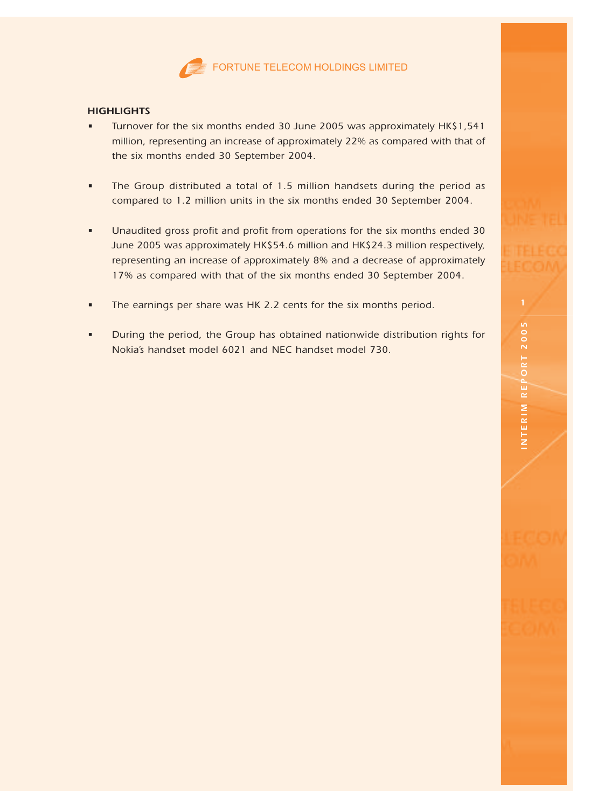

# **HIGHLIGHTS**

- Turnover for the six months ended 30 June 2005 was approximately HK\$1,541 million, representing an increase of approximately 22% as compared with that of the six months ended 30 September 2004.
- The Group distributed a total of 1.5 million handsets during the period as compared to 1.2 million units in the six months ended 30 September 2004.
- Unaudited gross profit and profit from operations for the six months ended 30 June 2005 was approximately HK\$54.6 million and HK\$24.3 million respectively, representing an increase of approximately 8% and a decrease of approximately 17% as compared with that of the six months ended 30 September 2004.
- The earnings per share was HK 2.2 cents for the six months period.
- During the period, the Group has obtained nationwide distribution rights for Nokia's handset model 6021 and NEC handset model 730.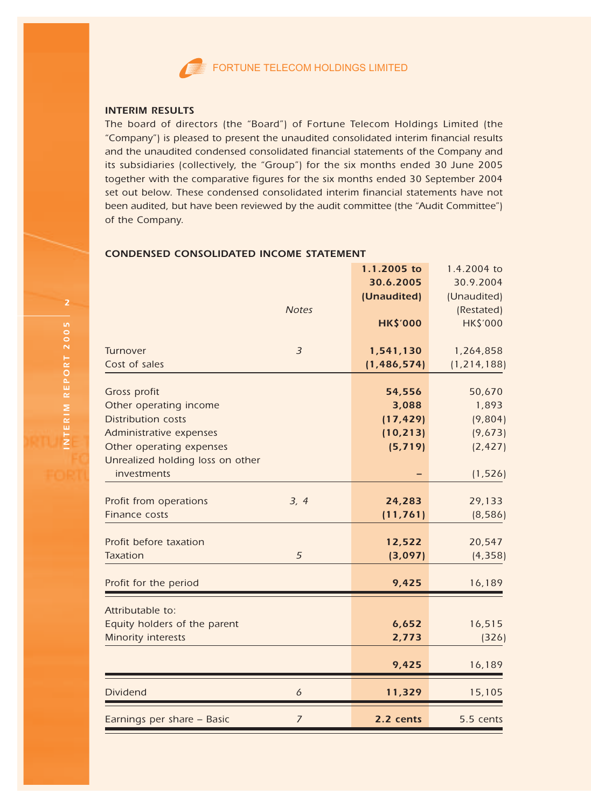

## INTERIM RESULTS

The board of directors (the "Board") of Fortune Telecom Holdings Limited (the "Company") is pleased to present the unaudited consolidated interim financial results and the unaudited condensed consolidated financial statements of the Company and its subsidiaries (collectively, the "Group") for the six months ended 30 June 2005 together with the comparative figures for the six months ended 30 September 2004 set out below. These condensed consolidated interim financial statements have not been audited, but have been reviewed by the audit committee (the "Audit Committee") of the Company.

# 1.1.2005 to 1.4.2004 to 30.6.2005 30.9.2004 (Unaudited) (Unaudited) Notes (Restated) HK\$'000 HK\$'000 Turnover <sup>3</sup> 1,541,130 1,264,858 Cost of sales (1,486,574) (1,214,188) Gross profit 56,670 50,670 50,670 50,670 50,670 50,670 50,670 50,670 50,670 50,670 50,670 50,670 50,670 50,670 Other operating income 3,088 1,893 Distribution costs (17,429) (9,804) Administrative expenses (10,213) (9,673) Other operating expenses (5,719) (2,427) Unrealized holding loss on other  $\blacksquare$ investments (1,526) Profit from operations 3, 4 24,283 29,133 Finance costs (11,761) (8,586) Profit before taxation **12,522** 20,547 Taxation (4,358) (4,358) (5 (3,<mark>097)</mark> (4,358) Profit for the period and the set of the period and the set of the set of the set of the set of the set of the set of the set of the set of the set of the set of the set of the set of the set of the set of the set of the s Attributable to: Equity holders of the parent 6,652 16,515 Minority interests and the control of the control of the control of the control of the control of the control of the control of the control of the control of the control of the control of the control of the control of the 9,425 16,189 Dividend 11,329 15,105 Earnings per share – Basic 2.2 cents 5.5 cents

# CONDENSED CONSOLIDATED INCOME STATEMENT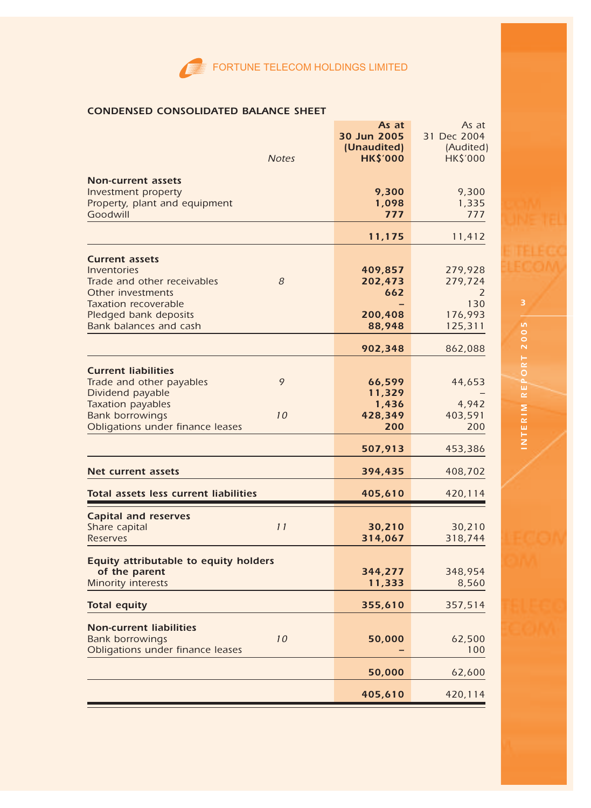# CONDENSED CONSOLIDATED BALANCE SHEET

| <b>Notes</b>                                                                                                                                                             | As at<br>30 Jun 2005<br>(Unaudited)<br><b>HK\$'000</b> | As at<br>31 Dec 2004<br>(Audited)<br><b>HK\$'000</b> |
|--------------------------------------------------------------------------------------------------------------------------------------------------------------------------|--------------------------------------------------------|------------------------------------------------------|
| <b>Non-current assets</b><br>Investment property<br>Property, plant and equipment<br>Goodwill                                                                            | 9,300<br>1,098<br>777                                  | 9,300<br>1,335<br>777                                |
|                                                                                                                                                                          | 11,175                                                 | 11,412                                               |
| <b>Current assets</b><br>Inventories<br>8<br>Trade and other receivables<br>Other investments<br><b>Taxation recoverable</b>                                             | 409,857<br>202,473<br>662                              | 279,928<br>279,724<br>2<br>130                       |
| Pledged bank deposits<br>Bank balances and cash                                                                                                                          | 200,408<br>88,948                                      | 176,993<br>125,311                                   |
|                                                                                                                                                                          | 902,348                                                | 862,088                                              |
| <b>Current liabilities</b><br>9<br>Trade and other payables<br>Dividend payable<br>Taxation payables<br>10<br><b>Bank borrowings</b><br>Obligations under finance leases | 66,599<br>11,329<br>1,436<br>428,349<br>200            | 44,653<br>4,942<br>403,591<br>200                    |
|                                                                                                                                                                          | 507,913                                                | 453,386                                              |
| Net current assets                                                                                                                                                       | 394,435                                                | 408,702                                              |
| Total assets less current liabilities                                                                                                                                    | 405,610                                                | 420,114                                              |
| <b>Capital and reserves</b><br>Share capital<br>11<br><b>Reserves</b>                                                                                                    | 30,210<br>314,067                                      | 30,210<br>318,744                                    |
| Equity attributable to equity holders<br>of the parent<br><b>Minority interests</b>                                                                                      | 344,277<br>11,333                                      | 348,954<br>8,560                                     |
| <b>Total equity</b>                                                                                                                                                      | 355,610                                                | 357,514                                              |
| <b>Non-current liabilities</b><br><b>Bank borrowings</b><br>10<br>Obligations under finance leases                                                                       | 50,000                                                 | 62,500<br>100                                        |
|                                                                                                                                                                          | 50,000                                                 | 62,600                                               |
|                                                                                                                                                                          | 405,610                                                | 420,114                                              |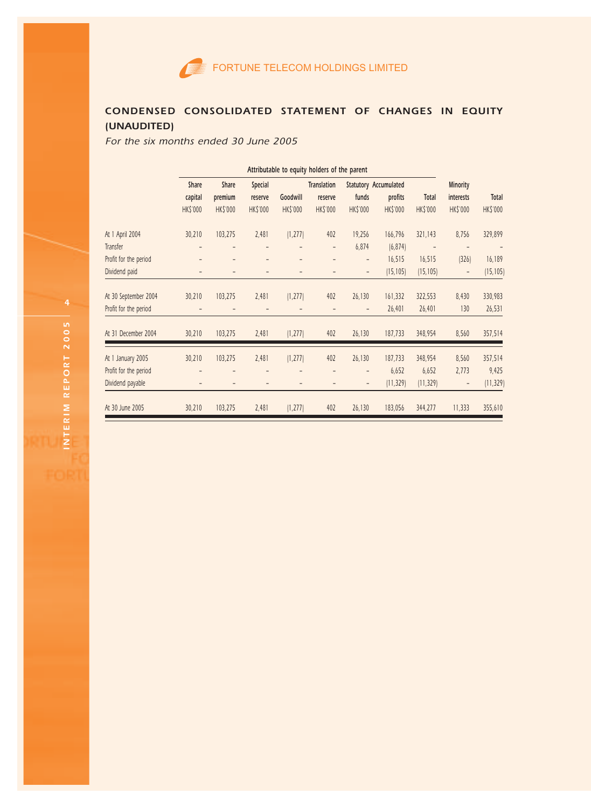

# CONDENSED CONSOLIDATED STATEMENT OF CHANGES IN EQUITY (UNAUDITED)

For the six months ended 30 June 2005

|                       | Attributable to equity holders of the parent |                 |                 |                 |                    |                |                              |                          |                          |                 |
|-----------------------|----------------------------------------------|-----------------|-----------------|-----------------|--------------------|----------------|------------------------------|--------------------------|--------------------------|-----------------|
|                       | Share                                        | Share           | Special         |                 | <b>Translation</b> |                | <b>Statutory Accumulated</b> |                          | Minority                 |                 |
|                       | capital                                      | premium         | reserve         | Goodwill        | reserve            | funds          | profits                      | Total                    | interests                | Total           |
|                       | <b>HK\$'000</b>                              | <b>HK\$'000</b> | <b>HK\$'000</b> | <b>HK\$'000</b> | <b>HK\$'000</b>    | HK\$'000       | <b>HK\$'000</b>              | HK\$'000                 | <b>HK\$'000</b>          | <b>HK\$'000</b> |
| At 1 April 2004       | 30,210                                       | 103,275         | 2,481           | (1, 277)        | 402                | 19,256         | 166,796                      | 321,143                  | 8,756                    | 329,899         |
| Transfer              |                                              |                 |                 |                 | $\overline{a}$     | 6,874          | (6, 874)                     | $\overline{\phantom{a}}$ | $\overline{a}$           |                 |
| Profit for the period |                                              |                 | $\overline{a}$  |                 |                    | $\overline{a}$ | 16,515                       | 16,515                   | 326                      | 16,189          |
| Dividend paid         |                                              |                 |                 | Ĭ.              |                    | $\overline{a}$ | (15, 105)                    | (15, 105)                | $\overline{\phantom{0}}$ | (15, 105)       |
| At 30 September 2004  | 30,210                                       | 103,275         | 2,481           | (1, 277)        | 402                | 26,130         | 161,332                      | 322,553                  | 8,430                    | 330,983         |
| Profit for the period |                                              |                 |                 |                 |                    | $\overline{a}$ | 26,401                       | 26,401                   | 130                      | 26,531          |
| At 31 December 2004   | 30,210                                       | 103,275         | 2,481           | (1, 277)        | 402                | 26,130         | 187,733                      | 348,954                  | 8,560                    | 357,514         |
| At 1 January 2005     | 30,210                                       | 103,275         | 2,481           | (1, 277)        | 402                | 26,130         | 187,733                      | 348,954                  | 8,560                    | 357,514         |
| Profit for the period |                                              |                 |                 |                 |                    | $\overline{a}$ | 6,652                        | 6,652                    | 2,773                    | 9,425           |
| Dividend payable      |                                              | $\overline{a}$  |                 | ÷               |                    | -              | (11, 329)                    | (11, 329)                | $\overline{\phantom{a}}$ | (11, 329)       |
| At 30 June 2005       | 30,210                                       | 103,275         | 2,481           | (1, 277)        | 402                | 26,130         | 183,056                      | 344,277                  | 11,333                   | 355,610         |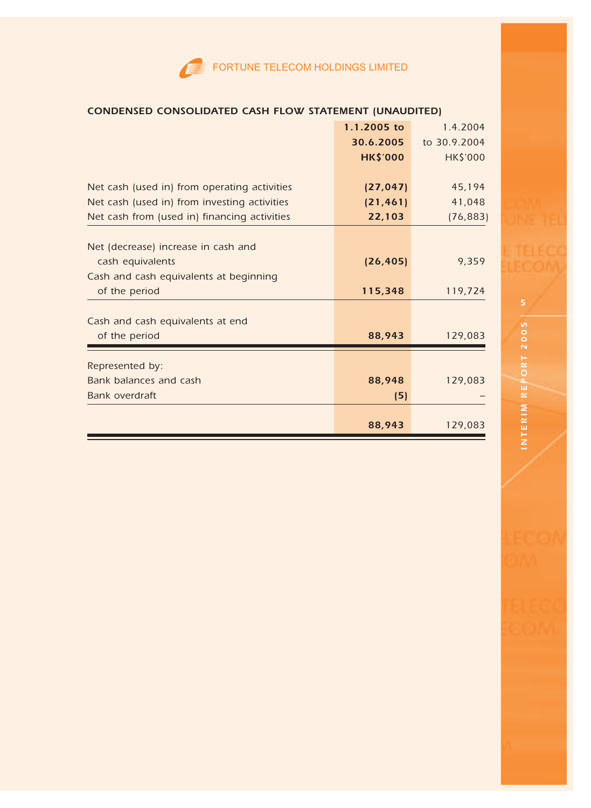|                                              | 1.1.2005 to     | 1.4.2004        |
|----------------------------------------------|-----------------|-----------------|
|                                              | 30.6.2005       | to 30.9.2004    |
|                                              | <b>HK\$'000</b> | <b>HK\$'000</b> |
|                                              |                 |                 |
| Net cash (used in) from operating activities | (27, 047)       | 45,194          |
| Net cash (used in) from investing activities | (21, 461)       | 41,048          |
| Net cash from (used in) financing activities | 22,103          | (76, 883)       |
|                                              |                 |                 |
| Net (decrease) increase in cash and          |                 |                 |
| cash equivalents                             | (26, 405)       | 9,359           |
| Cash and cash equivalents at beginning       |                 |                 |
| of the period                                | 115,348         | 119,724         |
|                                              |                 |                 |
| Cash and cash equivalents at end             |                 |                 |
| of the period                                | 88,943          | 129,083         |
| Represented by:                              |                 |                 |
| Bank balances and cash                       | 88,948          | 129,083         |
| Bank overdraft                               | (5)             |                 |
|                                              |                 |                 |
|                                              | 88,943          | 129,083         |

# CONDENSED CONSOLIDATED CASH FLOW STATEMENT (UNAUDITED)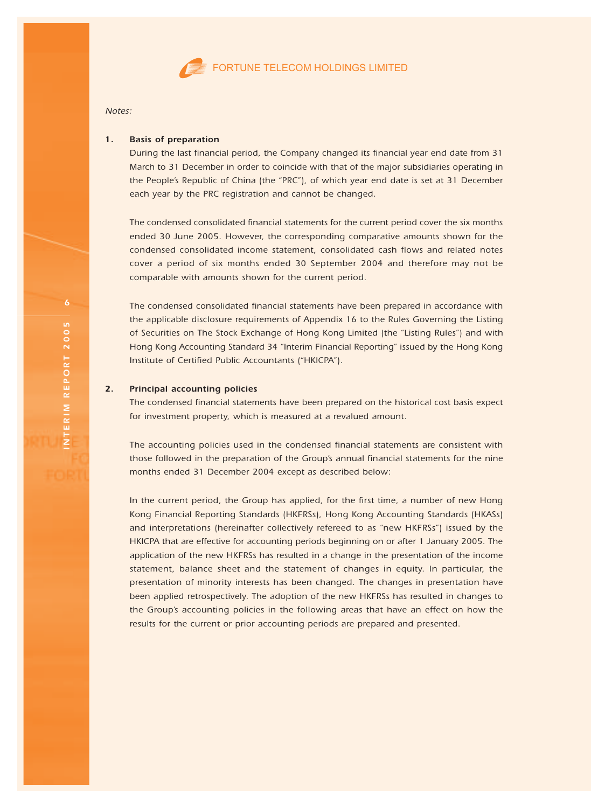

Notes:

#### 1. Basis of preparation

During the last financial period, the Company changed its financial year end date from 31 March to 31 December in order to coincide with that of the major subsidiaries operating in the People's Republic of China (the "PRC"), of which year end date is set at 31 December each year by the PRC registration and cannot be changed.

The condensed consolidated financial statements for the current period cover the six months ended 30 June 2005. However, the corresponding comparative amounts shown for the condensed consolidated income statement, consolidated cash flows and related notes cover a period of six months ended 30 September 2004 and therefore may not be comparable with amounts shown for the current period.

The condensed consolidated financial statements have been prepared in accordance with the applicable disclosure requirements of Appendix 16 to the Rules Governing the Listing of Securities on The Stock Exchange of Hong Kong Limited (the "Listing Rules") and with Hong Kong Accounting Standard 34 "Interim Financial Reporting" issued by the Hong Kong Institute of Certified Public Accountants ("HKICPA").

#### 2. Principal accounting policies

The condensed financial statements have been prepared on the historical cost basis expect for investment property, which is measured at a revalued amount.

The accounting policies used in the condensed financial statements are consistent with those followed in the preparation of the Group's annual financial statements for the nine months ended 31 December 2004 except as described below:

In the current period, the Group has applied, for the first time, a number of new Hong Kong Financial Reporting Standards (HKFRSs), Hong Kong Accounting Standards (HKASs) and interpretations (hereinafter collectively refereed to as "new HKFRSs") issued by the HKICPA that are effective for accounting periods beginning on or after 1 January 2005. The application of the new HKFRSs has resulted in a change in the presentation of the income statement, balance sheet and the statement of changes in equity. In particular, the presentation of minority interests has been changed. The changes in presentation have been applied retrospectively. The adoption of the new HKFRSs has resulted in changes to the Group's accounting policies in the following areas that have an effect on how the results for the current or prior accounting periods are prepared and presented.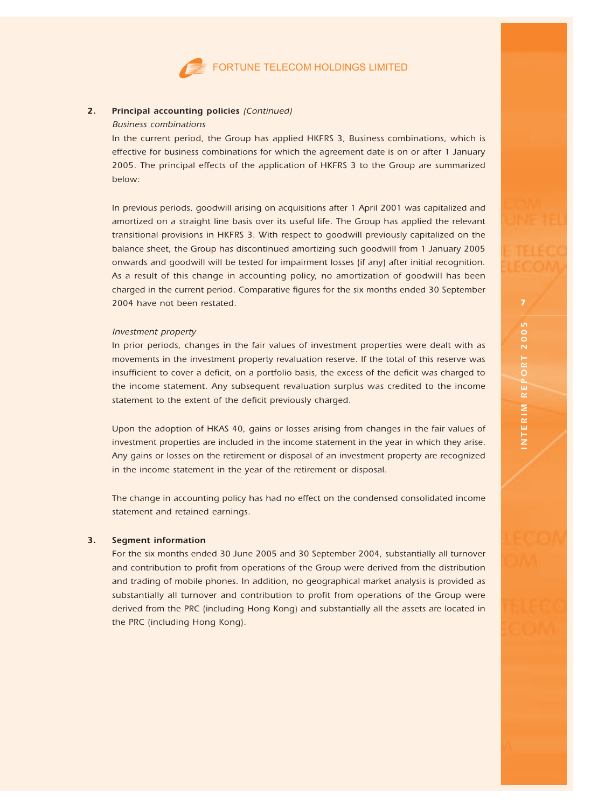#### 2. Principal accounting policies (Continued)

# Business combinations

In the current period, the Group has applied HKFRS 3, Business combinations, which is effective for business combinations for which the agreement date is on or after 1 January 2005. The principal effects of the application of HKFRS 3 to the Group are summarized below:

In previous periods, goodwill arising on acquisitions after 1 April 2001 was capitalized and amortized on a straight line basis over its useful life. The Group has applied the relevant transitional provisions in HKFRS 3. With respect to goodwill previously capitalized on the balance sheet, the Group has discontinued amortizing such goodwill from 1 January 2005 onwards and goodwill will be tested for impairment losses (if any) after initial recognition. As a result of this change in accounting policy, no amortization of goodwill has been charged in the current period. Comparative figures for the six months ended 30 September 2004 have not been restated.

#### Investment property

In prior periods, changes in the fair values of investment properties were dealt with as movements in the investment property revaluation reserve. If the total of this reserve was insufficient to cover a deficit, on a portfolio basis, the excess of the deficit was charged to the income statement. Any subsequent revaluation surplus was credited to the income statement to the extent of the deficit previously charged.

Upon the adoption of HKAS 40, gains or losses arising from changes in the fair values of investment properties are included in the income statement in the year in which they arise. Any gains or losses on the retirement or disposal of an investment property are recognized in the income statement in the year of the retirement or disposal.

The change in accounting policy has had no effect on the condensed consolidated income statement and retained earnings.

#### 3. Segment information

For the six months ended 30 June 2005 and 30 September 2004, substantially all turnover and contribution to profit from operations of the Group were derived from the distribution and trading of mobile phones. In addition, no geographical market analysis is provided as substantially all turnover and contribution to profit from operations of the Group were derived from the PRC (including Hong Kong) and substantially all the assets are located in the PRC (including Hong Kong).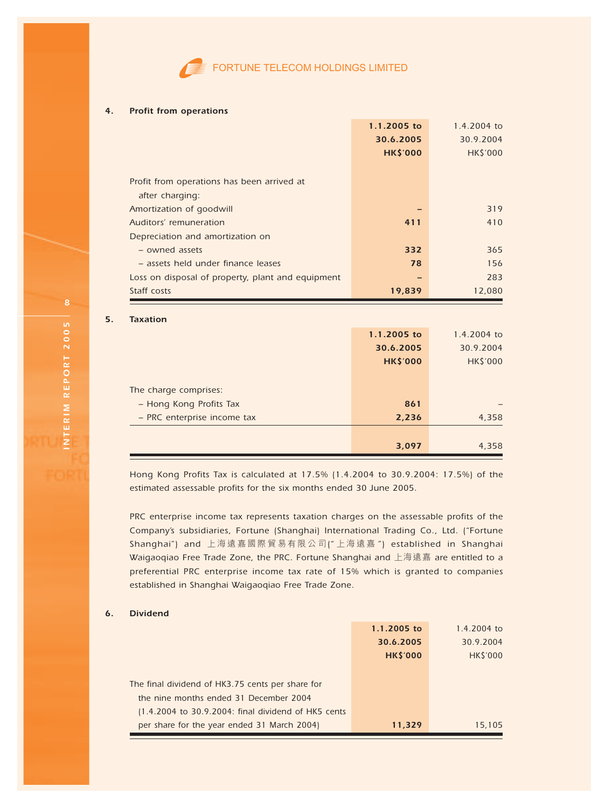

#### 4. Profit from operations

| 1.1.2005 to     | 1.4.2004 to       |
|-----------------|-------------------|
| 30.6.2005       | 30.9.2004         |
| <b>HK\$'000</b> | <b>HK\$'000</b>   |
|                 |                   |
|                 |                   |
|                 |                   |
|                 | 319               |
| 411             | 410               |
|                 |                   |
| 332             | 365               |
| 78              | 156               |
|                 | 283               |
| 19,839          | 12,080            |
|                 |                   |
|                 | $1.4.7004 \div 2$ |
|                 | $1.1.200E + c$    |

|                             | 1.1.2005 to     | 1.4.2004 to     |
|-----------------------------|-----------------|-----------------|
|                             | 30.6.2005       | 30.9.2004       |
|                             | <b>HK\$'000</b> | <b>HK\$'000</b> |
|                             |                 |                 |
| The charge comprises:       |                 |                 |
| - Hong Kong Profits Tax     | 861             |                 |
| - PRC enterprise income tax | 2,236           | 4,358           |
|                             |                 |                 |
|                             | 3,097           | 4,358           |

Hong Kong Profits Tax is calculated at 17.5% (1.4.2004 to 30.9.2004: 17.5%) of the estimated assessable profits for the six months ended 30 June 2005.

PRC enterprise income tax represents taxation charges on the assessable profits of the Company's subsidiaries, Fortune (Shanghai) International Trading Co., Ltd. ("Fortune Shanghai") and 上海遠嘉國際貿易有限公司(" 上海遠嘉 ") established in Shanghai Waigaoqiao Free Trade Zone, the PRC. Fortune Shanghai and 上海遠嘉 are entitled to a preferential PRC enterprise income tax rate of 15% which is granted to companies established in Shanghai Waigaoqiao Free Trade Zone.

#### 6. Dividend

|                                                     | 1.1.2005 to     | 1.4.2004 to    |
|-----------------------------------------------------|-----------------|----------------|
|                                                     | 30.6.2005       | 30.9.2004      |
|                                                     | <b>HK\$'000</b> | <b>HKS'000</b> |
|                                                     |                 |                |
| The final dividend of HK3.75 cents per share for    |                 |                |
| the nine months ended 31 December 2004              |                 |                |
| (1.4.2004 to 30.9.2004: final dividend of HK5 cents |                 |                |
| per share for the year ended 31 March 2004)         | 11.329          | 15.105         |

 $5<sub>1</sub>$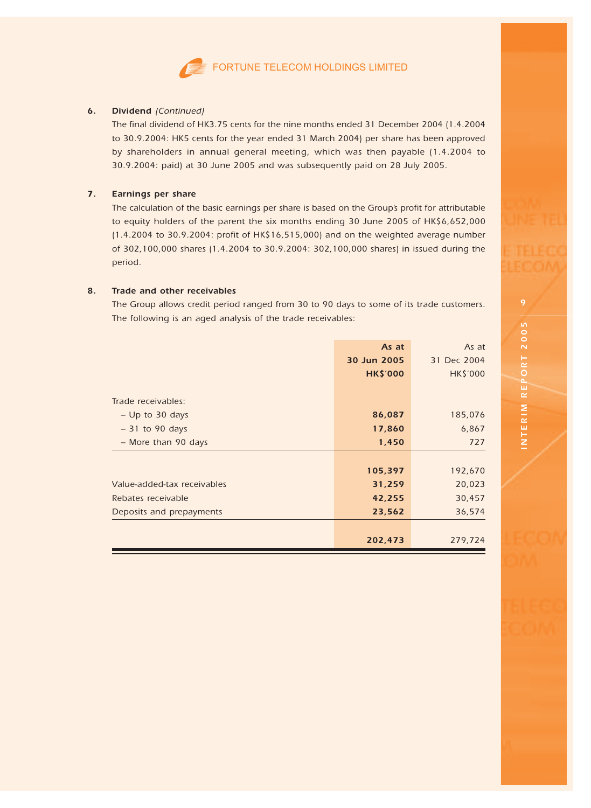

#### 6. Dividend (Continued)

The final dividend of HK3.75 cents for the nine months ended 31 December 2004 (1.4.2004 to 30.9.2004: HK5 cents for the year ended 31 March 2004) per share has been approved by shareholders in annual general meeting, which was then payable (1.4.2004 to 30.9.2004: paid) at 30 June 2005 and was subsequently paid on 28 July 2005.

#### 7. Earnings per share

The calculation of the basic earnings per share is based on the Group's profit for attributable to equity holders of the parent the six months ending 30 June 2005 of HK\$6,652,000 (1.4.2004 to 30.9.2004: profit of HK\$16,515,000) and on the weighted average number of 302,100,000 shares (1.4.2004 to 30.9.2004: 302,100,000 shares) in issued during the period.

#### 8. Trade and other receivables

The Group allows credit period ranged from 30 to 90 days to some of its trade customers. The following is an aged analysis of the trade receivables:

|                             | As at           | As at           |
|-----------------------------|-----------------|-----------------|
|                             | 30 Jun 2005     | 31 Dec 2004     |
|                             | <b>HK\$'000</b> | <b>HK\$'000</b> |
|                             |                 |                 |
| Trade receivables:          |                 |                 |
| $-$ Up to 30 days           | 86,087          | 185,076         |
| $-31$ to 90 days            | 17,860          | 6,867           |
| - More than 90 days         | 1,450           | 727             |
|                             |                 |                 |
|                             | 105,397         | 192,670         |
| Value-added-tax receivables | 31,259          | 20,023          |
| Rebates receivable          | 42,255          | 30,457          |
| Deposits and prepayments    | 23,562          | 36,574          |
|                             |                 |                 |
|                             | 202,473         | 279,724         |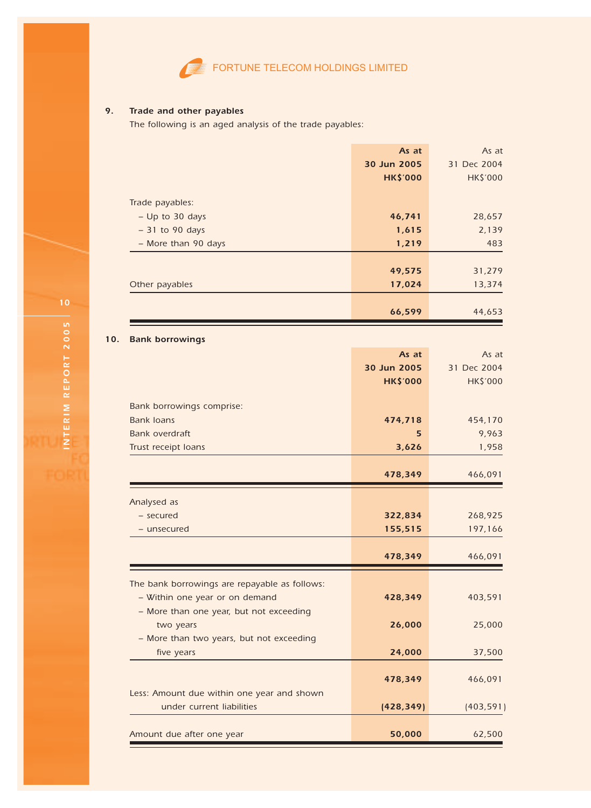

# 9. Trade and other payables

The following is an aged analysis of the trade payables:

|                     | As at           | As at           |
|---------------------|-----------------|-----------------|
|                     | 30 Jun 2005     | 31 Dec 2004     |
|                     | <b>HK\$'000</b> | <b>HK\$'000</b> |
|                     |                 |                 |
| Trade payables:     |                 |                 |
| $-$ Up to 30 days   | 46,741          | 28,657          |
| $-31$ to 90 days    | 1,615           | 2,139           |
| - More than 90 days | 1,219           | 483             |
|                     |                 |                 |
|                     | 49,575          | 31,279          |
| Other payables      | 17,024          | 13,374          |
|                     |                 |                 |
|                     | 66,599          | 44,653          |

# 10. Bank borrowings

|                                               | As at           | As at           |
|-----------------------------------------------|-----------------|-----------------|
|                                               | 30 Jun 2005     | 31 Dec 2004     |
|                                               | <b>HK\$'000</b> | <b>HK\$'000</b> |
|                                               |                 |                 |
| Bank borrowings comprise:                     |                 |                 |
| <b>Bank Joans</b>                             | 474,718         | 454,170         |
| Bank overdraft                                | 5               | 9,963           |
| Trust receipt loans                           | 3,626           | 1,958           |
|                                               |                 |                 |
|                                               | 478,349         | 466,091         |
|                                               |                 |                 |
| Analysed as                                   |                 |                 |
| - secured                                     | 322,834         | 268,925         |
| - unsecured                                   | 155,515         | 197,166         |
|                                               |                 |                 |
|                                               | 478,349         | 466,091         |
|                                               |                 |                 |
| The bank borrowings are repayable as follows: |                 |                 |
| - Within one year or on demand                | 428.349         | 403,591         |
| - More than one year, but not exceeding       |                 |                 |
| two years                                     | 26,000          | 25,000          |
| - More than two years, but not exceeding      |                 |                 |
| five years                                    | 24,000          | 37,500          |
|                                               |                 |                 |
|                                               | 478,349         | 466,091         |
| Less: Amount due within one year and shown    |                 |                 |
| under current liabilities                     | (428, 349)      | (403, 591)      |
|                                               |                 |                 |
| Amount due after one year                     | 50,000          | 62,500          |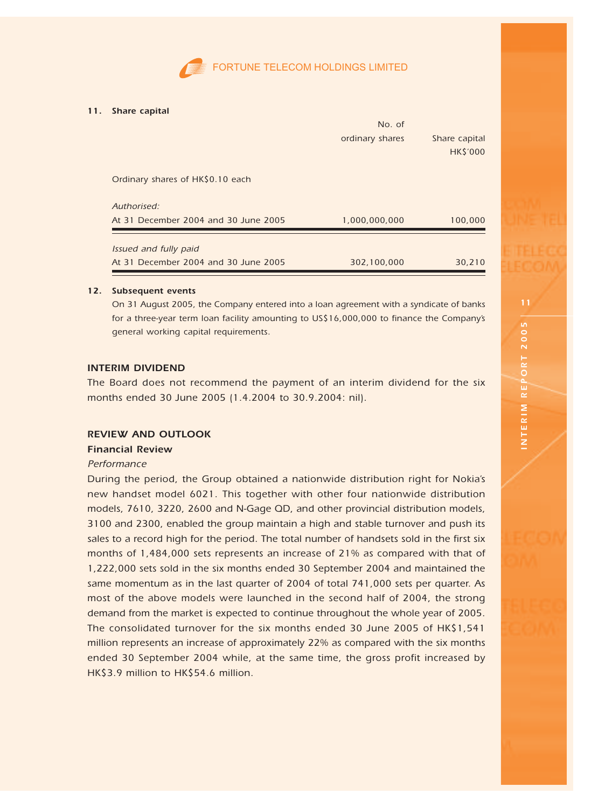

#### 11. Share capital

|                                      | No. of          |                 |
|--------------------------------------|-----------------|-----------------|
|                                      | ordinary shares | Share capital   |
|                                      |                 | <b>HK\$'000</b> |
|                                      |                 |                 |
| Ordinary shares of HK\$0.10 each     |                 |                 |
| Authorised:                          |                 |                 |
| At 31 December 2004 and 30 June 2005 | 1,000,000,000   | 100,000         |
| Issued and fully paid                |                 |                 |
| At 31 December 2004 and 30 June 2005 | 302,100,000     | 30,210          |
|                                      |                 |                 |

#### 12. Subsequent events

On 31 August 2005, the Company entered into a loan agreement with a syndicate of banks for a three-year term loan facility amounting to US\$16,000,000 to finance the Company's general working capital requirements.

## INTERIM DIVIDEND

The Board does not recommend the payment of an interim dividend for the six months ended 30 June 2005 (1.4.2004 to 30.9.2004: nil).

# REVIEW AND OUTLOOK

# Financial Review

#### Performance

During the period, the Group obtained a nationwide distribution right for Nokia's new handset model 6021. This together with other four nationwide distribution models, 7610, 3220, 2600 and N-Gage QD, and other provincial distribution models, 3100 and 2300, enabled the group maintain a high and stable turnover and push its sales to a record high for the period. The total number of handsets sold in the first six months of 1,484,000 sets represents an increase of 21% as compared with that of 1,222,000 sets sold in the six months ended 30 September 2004 and maintained the same momentum as in the last quarter of 2004 of total 741,000 sets per quarter. As most of the above models were launched in the second half of 2004, the strong demand from the market is expected to continue throughout the whole year of 2005. The consolidated turnover for the six months ended 30 June 2005 of HK\$1,541 million represents an increase of approximately 22% as compared with the six months ended 30 September 2004 while, at the same time, the gross profit increased by HK\$3.9 million to HK\$54.6 million.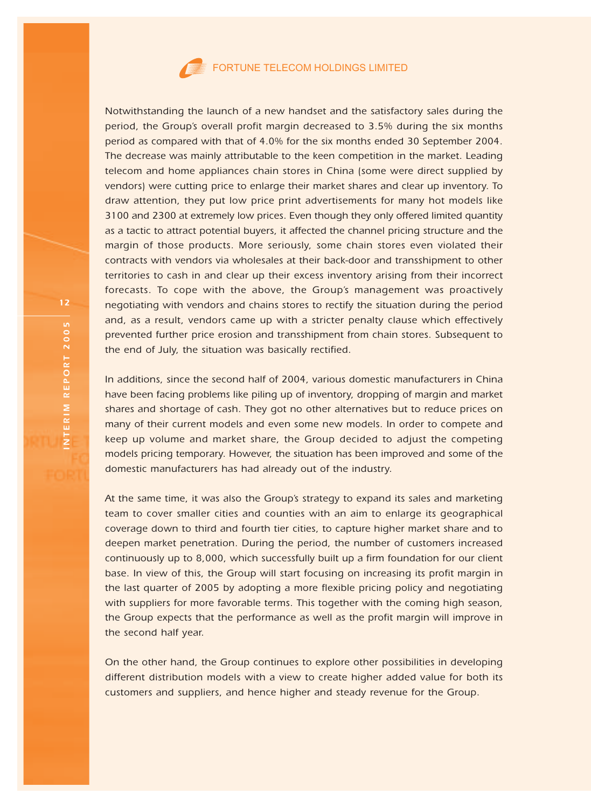

Notwithstanding the launch of a new handset and the satisfactory sales during the period, the Group's overall profit margin decreased to 3.5% during the six months period as compared with that of 4.0% for the six months ended 30 September 2004. The decrease was mainly attributable to the keen competition in the market. Leading telecom and home appliances chain stores in China (some were direct supplied by vendors) were cutting price to enlarge their market shares and clear up inventory. To draw attention, they put low price print advertisements for many hot models like 3100 and 2300 at extremely low prices. Even though they only offered limited quantity as a tactic to attract potential buyers, it affected the channel pricing structure and the margin of those products. More seriously, some chain stores even violated their contracts with vendors via wholesales at their back-door and transshipment to other territories to cash in and clear up their excess inventory arising from their incorrect forecasts. To cope with the above, the Group's management was proactively negotiating with vendors and chains stores to rectify the situation during the period and, as a result, vendors came up with a stricter penalty clause which effectively prevented further price erosion and transshipment from chain stores. Subsequent to the end of July, the situation was basically rectified.

In additions, since the second half of 2004, various domestic manufacturers in China have been facing problems like piling up of inventory, dropping of margin and market shares and shortage of cash. They got no other alternatives but to reduce prices on many of their current models and even some new models. In order to compete and keep up volume and market share, the Group decided to adjust the competing models pricing temporary. However, the situation has been improved and some of the domestic manufacturers has had already out of the industry.

At the same time, it was also the Group's strategy to expand its sales and marketing team to cover smaller cities and counties with an aim to enlarge its geographical coverage down to third and fourth tier cities, to capture higher market share and to deepen market penetration. During the period, the number of customers increased continuously up to 8,000, which successfully built up a firm foundation for our client base. In view of this, the Group will start focusing on increasing its profit margin in the last quarter of 2005 by adopting a more flexible pricing policy and negotiating with suppliers for more favorable terms. This together with the coming high season, the Group expects that the performance as well as the profit margin will improve in the second half year.

On the other hand, the Group continues to explore other possibilities in developing different distribution models with a view to create higher added value for both its customers and suppliers, and hence higher and steady revenue for the Group.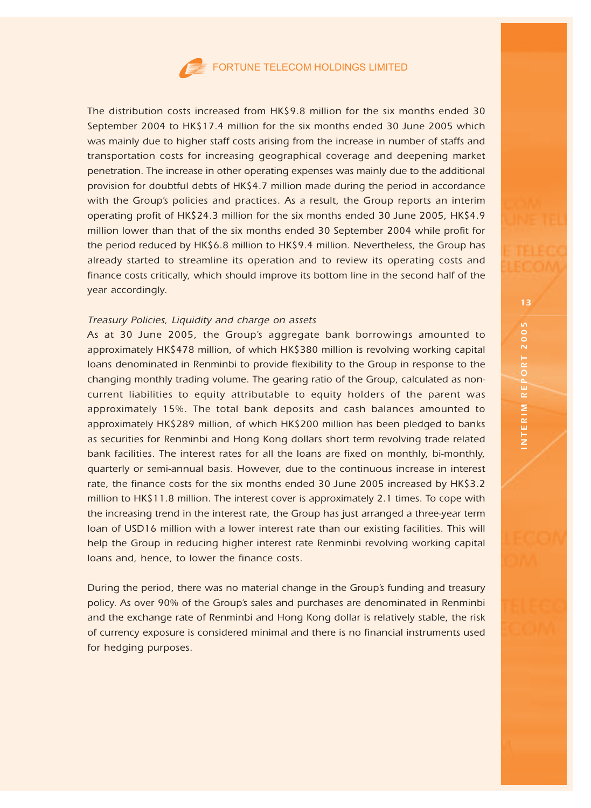The distribution costs increased from HK\$9.8 million for the six months ended 30 September 2004 to HK\$17.4 million for the six months ended 30 June 2005 which was mainly due to higher staff costs arising from the increase in number of staffs and transportation costs for increasing geographical coverage and deepening market penetration. The increase in other operating expenses was mainly due to the additional provision for doubtful debts of HK\$4.7 million made during the period in accordance with the Group's policies and practices. As a result, the Group reports an interim operating profit of HK\$24.3 million for the six months ended 30 June 2005, HK\$4.9 million lower than that of the six months ended 30 September 2004 while profit for the period reduced by HK\$6.8 million to HK\$9.4 million. Nevertheless, the Group has already started to streamline its operation and to review its operating costs and finance costs critically, which should improve its bottom line in the second half of the year accordingly.

# Treasury Policies, Liquidity and charge on assets

As at 30 June 2005, the Group's aggregate bank borrowings amounted to approximately HK\$478 million, of which HK\$380 million is revolving working capital loans denominated in Renminbi to provide flexibility to the Group in response to the changing monthly trading volume. The gearing ratio of the Group, calculated as noncurrent liabilities to equity attributable to equity holders of the parent was approximately 15%. The total bank deposits and cash balances amounted to approximately HK\$289 million, of which HK\$200 million has been pledged to banks as securities for Renminbi and Hong Kong dollars short term revolving trade related bank facilities. The interest rates for all the loans are fixed on monthly, bi-monthly, quarterly or semi-annual basis. However, due to the continuous increase in interest rate, the finance costs for the six months ended 30 June 2005 increased by HK\$3.2 million to HK\$11.8 million. The interest cover is approximately 2.1 times. To cope with the increasing trend in the interest rate, the Group has just arranged a three-year term loan of USD16 million with a lower interest rate than our existing facilities. This will help the Group in reducing higher interest rate Renminbi revolving working capital loans and, hence, to lower the finance costs.

During the period, there was no material change in the Group's funding and treasury policy. As over 90% of the Group's sales and purchases are denominated in Renminbi and the exchange rate of Renminbi and Hong Kong dollar is relatively stable, the risk of currency exposure is considered minimal and there is no financial instruments used for hedging purposes.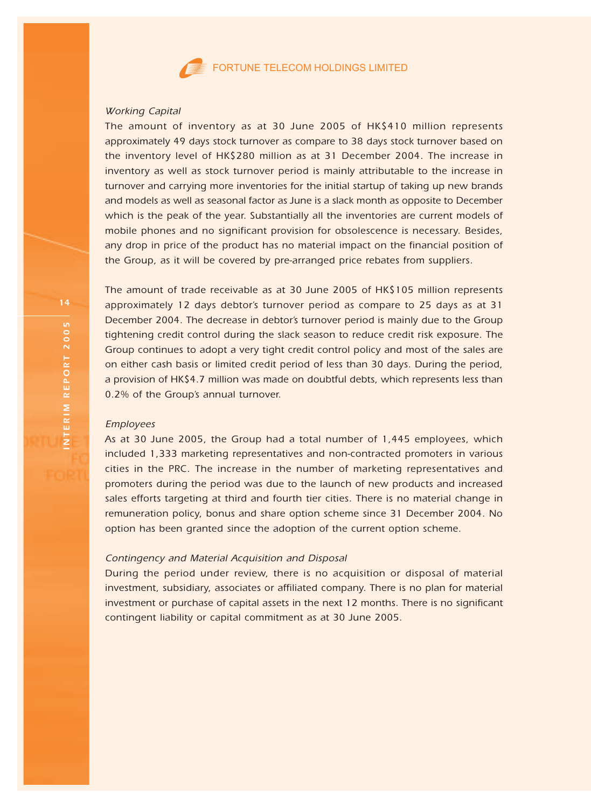

#### Working Capital

The amount of inventory as at 30 June 2005 of HK\$410 million represents approximately 49 days stock turnover as compare to 38 days stock turnover based on the inventory level of HK\$280 million as at 31 December 2004. The increase in inventory as well as stock turnover period is mainly attributable to the increase in turnover and carrying more inventories for the initial startup of taking up new brands and models as well as seasonal factor as June is a slack month as opposite to December which is the peak of the year. Substantially all the inventories are current models of mobile phones and no significant provision for obsolescence is necessary. Besides, any drop in price of the product has no material impact on the financial position of the Group, as it will be covered by pre-arranged price rebates from suppliers.

The amount of trade receivable as at 30 June 2005 of HK\$105 million represents approximately 12 days debtor's turnover period as compare to 25 days as at 31 December 2004. The decrease in debtor's turnover period is mainly due to the Group tightening credit control during the slack season to reduce credit risk exposure. The Group continues to adopt a very tight credit control policy and most of the sales are on either cash basis or limited credit period of less than 30 days. During the period, a provision of HK\$4.7 million was made on doubtful debts, which represents less than 0.2% of the Group's annual turnover.

#### Employees

As at 30 June 2005, the Group had a total number of 1,445 employees, which included 1,333 marketing representatives and non-contracted promoters in various cities in the PRC. The increase in the number of marketing representatives and promoters during the period was due to the launch of new products and increased sales efforts targeting at third and fourth tier cities. There is no material change in remuneration policy, bonus and share option scheme since 31 December 2004. No option has been granted since the adoption of the current option scheme.

# Contingency and Material Acquisition and Disposal

During the period under review, there is no acquisition or disposal of material investment, subsidiary, associates or affiliated company. There is no plan for material investment or purchase of capital assets in the next 12 months. There is no significant contingent liability or capital commitment as at 30 June 2005.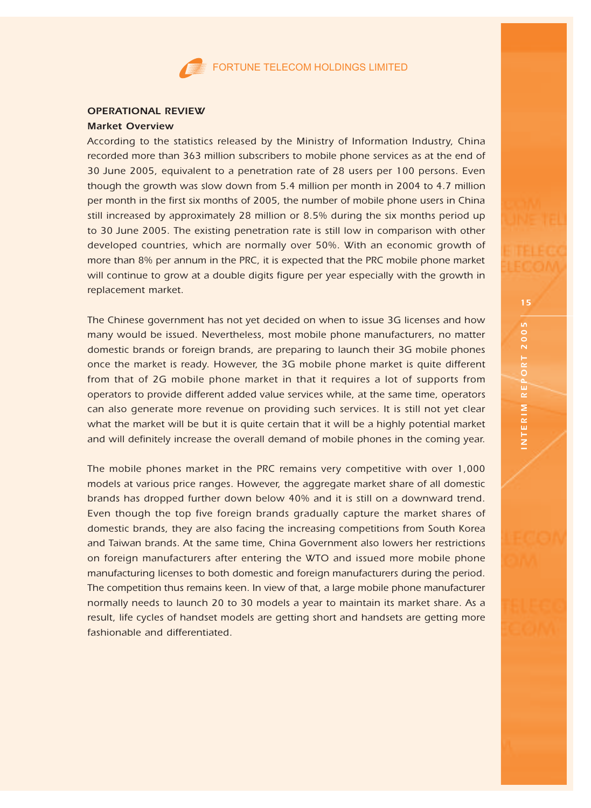#### OPERATIONAL REVIEW

#### Market Overview

According to the statistics released by the Ministry of Information Industry, China recorded more than 363 million subscribers to mobile phone services as at the end of 30 June 2005, equivalent to a penetration rate of 28 users per 100 persons. Even though the growth was slow down from 5.4 million per month in 2004 to 4.7 million per month in the first six months of 2005, the number of mobile phone users in China still increased by approximately 28 million or 8.5% during the six months period up to 30 June 2005. The existing penetration rate is still low in comparison with other developed countries, which are normally over 50%. With an economic growth of more than 8% per annum in the PRC, it is expected that the PRC mobile phone market will continue to grow at a double digits figure per year especially with the growth in replacement market.

The Chinese government has not yet decided on when to issue 3G licenses and how many would be issued. Nevertheless, most mobile phone manufacturers, no matter domestic brands or foreign brands, are preparing to launch their 3G mobile phones once the market is ready. However, the 3G mobile phone market is quite different from that of 2G mobile phone market in that it requires a lot of supports from operators to provide different added value services while, at the same time, operators can also generate more revenue on providing such services. It is still not yet clear what the market will be but it is quite certain that it will be a highly potential market and will definitely increase the overall demand of mobile phones in the coming year.

The mobile phones market in the PRC remains very competitive with over 1,000 models at various price ranges. However, the aggregate market share of all domestic brands has dropped further down below 40% and it is still on a downward trend. Even though the top five foreign brands gradually capture the market shares of domestic brands, they are also facing the increasing competitions from South Korea and Taiwan brands. At the same time, China Government also lowers her restrictions on foreign manufacturers after entering the WTO and issued more mobile phone manufacturing licenses to both domestic and foreign manufacturers during the period. The competition thus remains keen. In view of that, a large mobile phone manufacturer normally needs to launch 20 to 30 models a year to maintain its market share. As a result, life cycles of handset models are getting short and handsets are getting more fashionable and differentiated.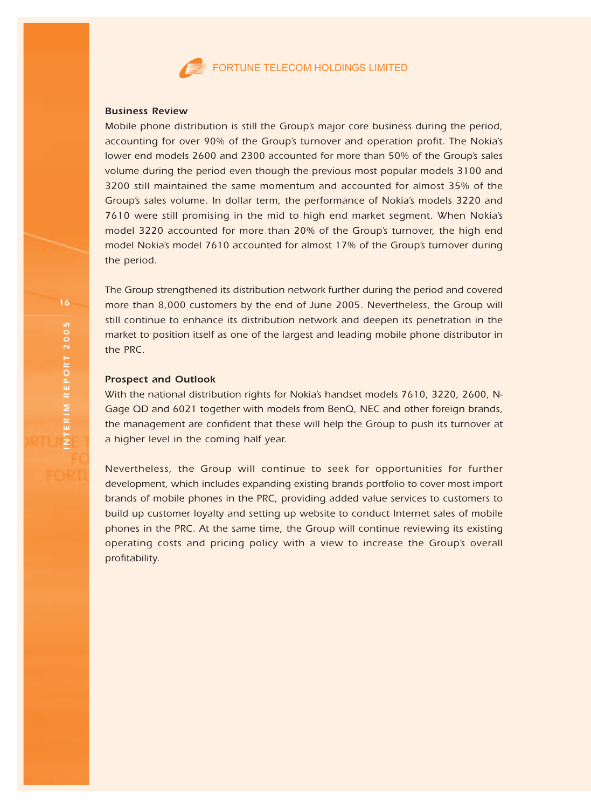

#### Business Review

Mobile phone distribution is still the Group's major core business during the period, accounting for over 90% of the Group's turnover and operation profit. The Nokia's lower end models 2600 and 2300 accounted for more than 50% of the Group's sales volume during the period even though the previous most popular models 3100 and 3200 still maintained the same momentum and accounted for almost 35% of the Group's sales volume. In dollar term, the performance of Nokia's models 3220 and 7610 were still promising in the mid to high end market segment. When Nokia's model 3220 accounted for more than 20% of the Group's turnover, the high end model Nokia's model 7610 accounted for almost 17% of the Group's turnover during the period.

The Group strengthened its distribution network further during the period and covered more than 8,000 customers by the end of June 2005. Nevertheless, the Group will still continue to enhance its distribution network and deepen its penetration in the market to position itself as one of the largest and leading mobile phone distributor in the PRC.

#### Prospect and Outlook

With the national distribution rights for Nokia's handset models 7610, 3220, 2600, N-Gage QD and 6021 together with models from BenQ, NEC and other foreign brands, the management are confident that these will help the Group to push its turnover at a higher level in the coming half year.

Nevertheless, the Group will continue to seek for opportunities for further development, which includes expanding existing brands portfolio to cover most import brands of mobile phones in the PRC, providing added value services to customers to build up customer loyalty and setting up website to conduct Internet sales of mobile phones in the PRC. At the same time, the Group will continue reviewing its existing operating costs and pricing policy with a view to increase the Group's overall profitability.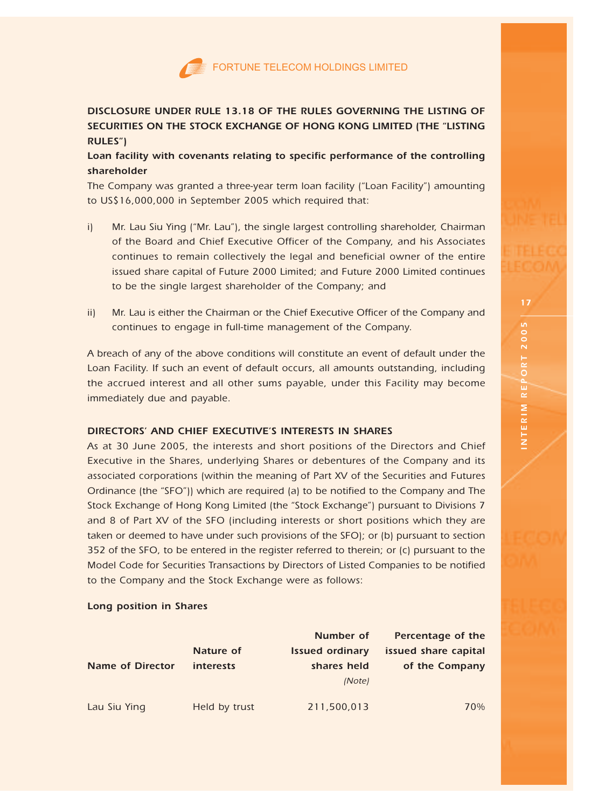# DISCLOSURE UNDER RULE 13.18 OF THE RULES GOVERNING THE LISTING OF SECURITIES ON THE STOCK EXCHANGE OF HONG KONG LIMITED (THE "LISTING RULES")

Loan facility with covenants relating to specific performance of the controlling shareholder

The Company was granted a three-year term loan facility ("Loan Facility") amounting to US\$16,000,000 in September 2005 which required that:

- i) Mr. Lau Siu Ying ("Mr. Lau"), the single largest controlling shareholder, Chairman of the Board and Chief Executive Officer of the Company, and his Associates continues to remain collectively the legal and beneficial owner of the entire issued share capital of Future 2000 Limited; and Future 2000 Limited continues to be the single largest shareholder of the Company; and
- ii) Mr. Lau is either the Chairman or the Chief Executive Officer of the Company and continues to engage in full-time management of the Company.

A breach of any of the above conditions will constitute an event of default under the Loan Facility. If such an event of default occurs, all amounts outstanding, including the accrued interest and all other sums payable, under this Facility may become immediately due and payable.

# DIRECTORS' AND CHIEF EXECUTIVE'S INTERESTS IN SHARES

As at 30 June 2005, the interests and short positions of the Directors and Chief Executive in the Shares, underlying Shares or debentures of the Company and its associated corporations (within the meaning of Part XV of the Securities and Futures Ordinance (the "SFO")) which are required (a) to be notified to the Company and The Stock Exchange of Hong Kong Limited (the "Stock Exchange") pursuant to Divisions 7 and 8 of Part XV of the SFO (including interests or short positions which they are taken or deemed to have under such provisions of the SFO); or (b) pursuant to section 352 of the SFO, to be entered in the register referred to therein; or (c) pursuant to the Model Code for Securities Transactions by Directors of Listed Companies to be notified to the Company and the Stock Exchange were as follows:

# Long position in Shares

|                  |                  | Number of              | Percentage of the    |
|------------------|------------------|------------------------|----------------------|
|                  | Nature of        | <b>Issued ordinary</b> | issued share capital |
| Name of Director | <i>interests</i> | shares held            | of the Company       |
|                  |                  | (Note)                 |                      |
|                  |                  |                        |                      |
| Lau Siu Ying     | Held by trust    | 211,500,013            | 70%                  |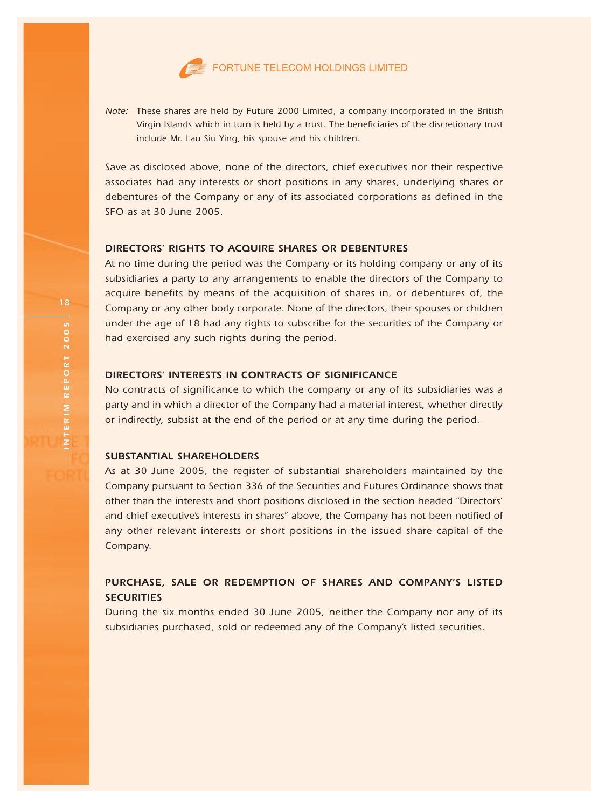

Note: These shares are held by Future 2000 Limited, a company incorporated in the British Virgin Islands which in turn is held by a trust. The beneficiaries of the discretionary trust include Mr. Lau Siu Ying, his spouse and his children.

Save as disclosed above, none of the directors, chief executives nor their respective associates had any interests or short positions in any shares, underlying shares or debentures of the Company or any of its associated corporations as defined in the SFO as at 30 June 2005.

# DIRECTORS' RIGHTS TO ACQUIRE SHARES OR DEBENTURES

At no time during the period was the Company or its holding company or any of its subsidiaries a party to any arrangements to enable the directors of the Company to acquire benefits by means of the acquisition of shares in, or debentures of, the Company or any other body corporate. None of the directors, their spouses or children under the age of 18 had any rights to subscribe for the securities of the Company or had exercised any such rights during the period.

# DIRECTORS' INTERESTS IN CONTRACTS OF SIGNIFICANCE

No contracts of significance to which the company or any of its subsidiaries was a party and in which a director of the Company had a material interest, whether directly or indirectly, subsist at the end of the period or at any time during the period.

#### SUBSTANTIAL SHAREHOLDERS

As at 30 June 2005, the register of substantial shareholders maintained by the Company pursuant to Section 336 of the Securities and Futures Ordinance shows that other than the interests and short positions disclosed in the section headed "Directors' and chief executive's interests in shares" above, the Company has not been notified of any other relevant interests or short positions in the issued share capital of the Company.

# PURCHASE, SALE OR REDEMPTION OF SHARES AND COMPANY'S LISTED **SECURITIES**

During the six months ended 30 June 2005, neither the Company nor any of its subsidiaries purchased, sold or redeemed any of the Company's listed securities.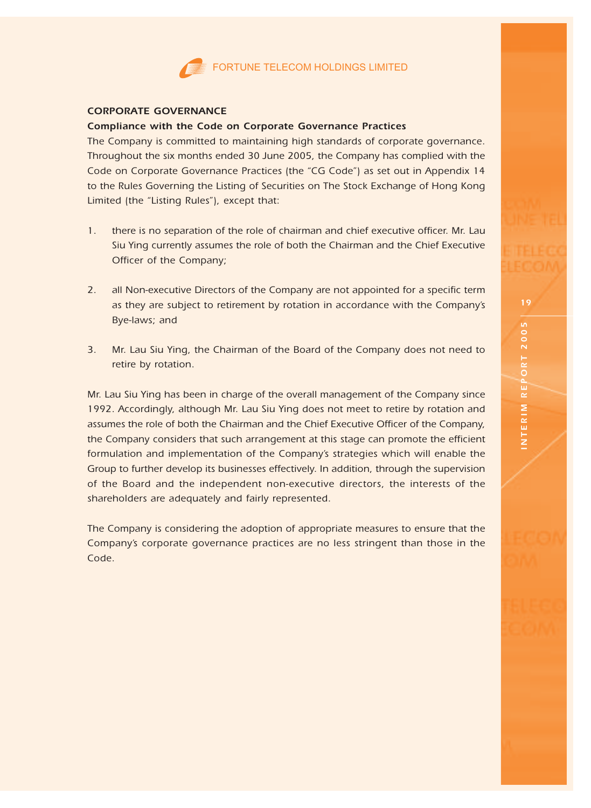# CORPORATE GOVERNANCE

# Compliance with the Code on Corporate Governance Practices

The Company is committed to maintaining high standards of corporate governance. Throughout the six months ended 30 June 2005, the Company has complied with the Code on Corporate Governance Practices (the "CG Code") as set out in Appendix 14 to the Rules Governing the Listing of Securities on The Stock Exchange of Hong Kong Limited (the "Listing Rules"), except that:

- 1. there is no separation of the role of chairman and chief executive officer. Mr. Lau Siu Ying currently assumes the role of both the Chairman and the Chief Executive Officer of the Company;
- 2. all Non-executive Directors of the Company are not appointed for a specific term as they are subject to retirement by rotation in accordance with the Company's Bye-laws; and
- 3. Mr. Lau Siu Ying, the Chairman of the Board of the Company does not need to retire by rotation.

Mr. Lau Siu Ying has been in charge of the overall management of the Company since 1992. Accordingly, although Mr. Lau Siu Ying does not meet to retire by rotation and assumes the role of both the Chairman and the Chief Executive Officer of the Company, the Company considers that such arrangement at this stage can promote the efficient formulation and implementation of the Company's strategies which will enable the Group to further develop its businesses effectively. In addition, through the supervision of the Board and the independent non-executive directors, the interests of the shareholders are adequately and fairly represented.

The Company is considering the adoption of appropriate measures to ensure that the Company's corporate governance practices are no less stringent than those in the Code.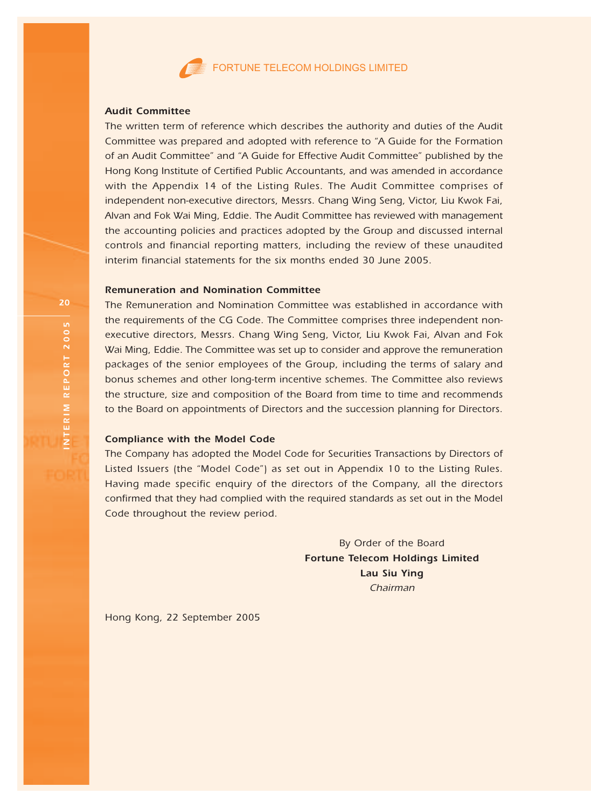

#### Audit Committee

The written term of reference which describes the authority and duties of the Audit Committee was prepared and adopted with reference to "A Guide for the Formation of an Audit Committee" and "A Guide for Effective Audit Committee" published by the Hong Kong Institute of Certified Public Accountants, and was amended in accordance with the Appendix 14 of the Listing Rules. The Audit Committee comprises of independent non-executive directors, Messrs. Chang Wing Seng, Victor, Liu Kwok Fai, Alvan and Fok Wai Ming, Eddie. The Audit Committee has reviewed with management the accounting policies and practices adopted by the Group and discussed internal controls and financial reporting matters, including the review of these unaudited interim financial statements for the six months ended 30 June 2005.

# Remuneration and Nomination Committee

The Remuneration and Nomination Committee was established in accordance with the requirements of the CG Code. The Committee comprises three independent nonexecutive directors, Messrs. Chang Wing Seng, Victor, Liu Kwok Fai, Alvan and Fok Wai Ming, Eddie. The Committee was set up to consider and approve the remuneration packages of the senior employees of the Group, including the terms of salary and bonus schemes and other long-term incentive schemes. The Committee also reviews the structure, size and composition of the Board from time to time and recommends to the Board on appointments of Directors and the succession planning for Directors.

#### Compliance with the Model Code

The Company has adopted the Model Code for Securities Transactions by Directors of Listed Issuers (the "Model Code") as set out in Appendix 10 to the Listing Rules. Having made specific enquiry of the directors of the Company, all the directors confirmed that they had complied with the required standards as set out in the Model Code throughout the review period.

> By Order of the Board Fortune Telecom Holdings Limited Lau Siu Ying Chairman

Hong Kong, 22 September 2005